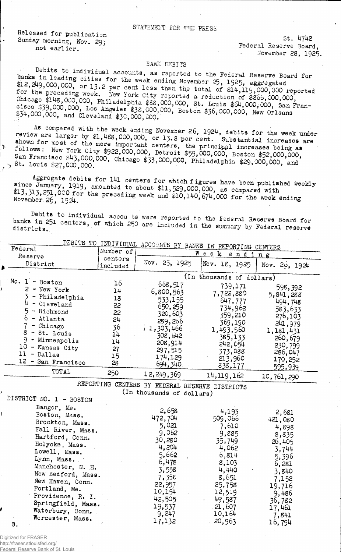## STATEMENT FOR THE PRESS

Released for publication Sunday morning, Nov. 29; not earlier.

<sup>2</sup>

 $St. 4742$ Federal Reserve Board. . November 28, 1925.

## **BANK DEBITS**

Debits to individual accounts, as reported to the Federal Reserve Board for banks in leading cities for the week ending November 25, 1925, aggregated \$12, 249,000,000, or 13.2 per cent less than the total of \$14,119,000,000 reported the preceding week. New York City reported a reduction of \$866,000,000, Chicago \$148,000,000, Philadelphia \$88,000,000, St. Louis \$64,000,000, San Francisco \$39,000,000, Los Angeles \$38,000,000, Boston \$36,000,000, New Orl \$34,000,000, and Cleveland \$30,000,000.

As compared with the week ending November 26, 1924, debits for the week under<br>review are larger by  $$1,488,000,000$ , or 13.8 per cent. Substantial increases are<br>shown for most of the more important centers, the principal follows: New York City \$922,000,000, Detroit \$59,000,000, Boston \$52,000,000, San Francisco \$43,000,000, Chicago \$33,000,000, Philadelphia \$29,000,000, and , st. Louis \$27,000,000.

Aggregate debits for 141 centers for which figures have been published weekly since January, 1919, amounted to about \$11,529,000,000, as compared with \$13,313,251,000 for the preceding week and  $510,140,674,000$  for the week ending November 26, 1924.

Debits to individual accou ts were reported to the Federal Reservs Board for banks in 251 centers, of which 250 are included in the summary by Federal reserve districts.

| DEBITS TO INDIVIDUAL ACCOUNTS BY BANKS IN REPORTING CENTERS<br>Federal |                     |                                                |                           |               |  |
|------------------------------------------------------------------------|---------------------|------------------------------------------------|---------------------------|---------------|--|
| Reserve                                                                | Number of           | $W$ e e $k$<br>ending                          |                           |               |  |
| District                                                               | centers<br>included | Nov. 25, 1925                                  | Nov. 18, 1925             | Nov. 20, 1924 |  |
|                                                                        |                     |                                                | (In thousands of dollars) |               |  |
| No. $1 -$ Boston                                                       | 16                  | 668,517                                        | 739,171                   | 598,392       |  |
| $2 - New York$                                                         | 14                  | 6,800,563                                      | 7,722,880                 | 5,841,288     |  |
| - Philadelphia                                                         | 18                  | 533,155                                        | 647,777                   | 494,748       |  |
| $4 - C1$ evel and                                                      | 22                  | 650, 259                                       | 734,962                   | 583,633       |  |
| $5 - Richard$                                                          | 22                  | 320,603                                        | 359,210                   | 276,103       |  |
| $6$ - Atlanta                                                          | 24                  | 289, 266                                       | 369,190                   | 241,979       |  |
| $7 - Chicago$<br>$8 - St.$ Louis                                       | 36                  | 1, 303, 466                                    | 1,493,560                 | 1,181,431     |  |
| $9$ - Minneapolis                                                      | 14                  | 308,642                                        | 385,133                   | 260,679       |  |
| $10$ - Kansas City                                                     | 14                  | 208,914                                        | 242,054                   | 230,799       |  |
| $11 - Dallas$                                                          | 27                  | 297,515                                        | 373,088                   | 286,047       |  |
| 12 - San Francisco                                                     | 15<br>28            | 174,129                                        | 213,960                   | 170,252       |  |
|                                                                        |                     | 694, 340                                       | 838,177                   | 595,939       |  |
| <b>TOTAL</b>                                                           | 250                 | 12, 249, 369                                   | 14,119,162                | 10,761,290    |  |
|                                                                        |                     | REPORTING CENTERS BY FEDERAL RESERVE DISTRICTS |                           |               |  |
| DISTRICT NO. 1 - BOSTON                                                |                     | (In thousands of dollars)                      |                           |               |  |
| Bangor, Me.                                                            |                     |                                                |                           |               |  |
| Boston, Mass.                                                          |                     | 2,658                                          | 4,193                     | 2,681         |  |
| Brockton, Mass.                                                        |                     | 472,704                                        | 509,066                   | 421,080       |  |
| Fall River, Mass.                                                      |                     | 5,021                                          | 7,610                     | 4,898         |  |
| Hartford, Conn.                                                        |                     | 9,062                                          | 9,885                     | 8,835         |  |
| Holyoke, Mass.                                                         |                     | 30,280                                         | 35,749                    | 26,405        |  |
| Lowell, Mass.                                                          |                     | 4,204                                          | 4,062                     | 3,744         |  |
| Lynn, Mass.                                                            |                     | 5,662                                          | 6,814                     | 5,396         |  |
| Manchester, N. H.                                                      |                     | 6,478                                          | 8,103                     | 6,281         |  |
| New Bedford, Mass.                                                     |                     | 3,558                                          | 4,440                     | 3,840         |  |
| New Haven, Conn.                                                       |                     | 7,358                                          | 8,651                     | 7,152         |  |
| Portland, Me.                                                          |                     | 22,957                                         | 25,758                    | 19,716        |  |
| Providence, R. I.                                                      |                     | 10,154                                         | 12,519                    | 9,486         |  |
| Springfield, Mass.                                                     |                     | 42,505<br>19,537                               | 49,587                    | 36,782        |  |
| Waterbury, Conn.                                                       |                     | 9,247                                          | 21,607<br>10,164          | 17,461        |  |
| Worcester, Mass.                                                       |                     | 17,132                                         | 20,963                    | 7,841         |  |
| А.                                                                     |                     |                                                |                           | 16,794        |  |

Digitized for FRASER http://fraser.stlouisfed.org/

Federal Reserve Bank of St. Louis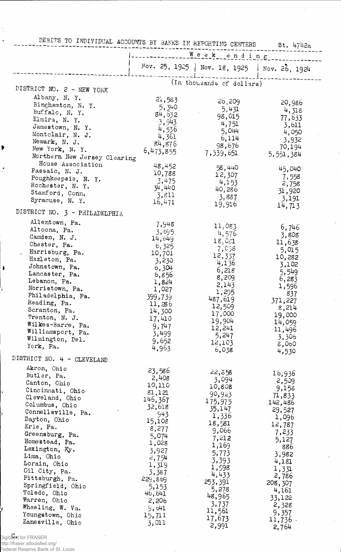|                                     | DEBITS TO INDIVIDUAL ACCOUNTS BY BANKS IN REPORTING CENTERS St. 4742a |                                               |                 |  |
|-------------------------------------|-----------------------------------------------------------------------|-----------------------------------------------|-----------------|--|
|                                     |                                                                       |                                               |                 |  |
|                                     |                                                                       | Week ending                                   |                 |  |
|                                     |                                                                       | Nov. 25, 1925   Nov. 18, 1925   Nov. 26, 1924 |                 |  |
|                                     |                                                                       | (In thousands of dollars)                     |                 |  |
| DISTRICT NO. 2 - NEW YORK           |                                                                       |                                               |                 |  |
| Albany, N.Y.                        | 21,583                                                                | 26,209                                        | 20,986          |  |
| Binghamton, N. Y.<br>Buffalo, N.Y.  | 5,340                                                                 | 5,431                                         | 4,318           |  |
| Elmira, N. Y.                       | 84,632                                                                | 98,015                                        | 77,633          |  |
| Jamestown, N. Y.                    | 3,943                                                                 | 4,751                                         | 3,611           |  |
| Montclair, N. J.                    | 4,536<br>4,361                                                        | 5,044                                         | 4,050           |  |
| Newark, N. J.                       | 84,876                                                                | 6,114                                         | 3,932           |  |
| New York, N.Y.                      | 6,473,855                                                             | 98,676                                        | 70,194          |  |
| Northern New Jersey Clearing        |                                                                       | 7,339,651                                     | 5,551,384       |  |
| House Association                   | 48,452                                                                | 58,440                                        | 45,040          |  |
| Passaic, N. J.                      | 10,788                                                                | 12,307                                        | 7,558           |  |
| Poughkeepsie, N. Y.                 | 3,475                                                                 | 4,153                                         | 2,758           |  |
| Rochester, N. Y.<br>Stamford, Conn. | 34,440                                                                | 40,286                                        | 31,920          |  |
| Syracuse, N. Y.                     | 3,811                                                                 | 3,887                                         | 3,191           |  |
|                                     | 16,471                                                                | 19,916                                        | 14,713          |  |
| DISTRICT NO. 3 - PHILADELPHIA       |                                                                       |                                               |                 |  |
| Allentown, Pa.                      | 7,948                                                                 | 11,083                                        | 6,746           |  |
| Altoona, Pa.                        | 3,695                                                                 | 4,576                                         | 3,808           |  |
| Camden, N. J.                       | 14,649                                                                | 18,021                                        | 11,638          |  |
| Chester, Pa.<br>Harrisburg, Pa.     | 6,325                                                                 | 7,038                                         | 5,015           |  |
| Hazleton, Pa.                       | 10,701<br>3,230                                                       | 12,337                                        | 10,282          |  |
| Johnstown, Pa.                      | 6,304                                                                 | 4,136                                         | 3,102           |  |
| Lancaster, Pa.                      | 6,856                                                                 | 6,218                                         | 5,549           |  |
| Lebanon, Pa.                        | 1,824                                                                 | 8,209<br>2,143                                | 6,283           |  |
| Norristown, Pa.                     | 1,027                                                                 | 1,295                                         | 1,596           |  |
| Philadelphia, Pa.                   | 399,739                                                               | 487,619                                       | 837<br>371,227  |  |
| Reading, Pa.                        | 11,286                                                                | 12,509                                        | 8,214           |  |
| Scranton, Pa.<br>Trenton, N. J.     | 14,300                                                                | 17,000                                        | 19,000          |  |
| Wilkes-Barre, Pa.                   | 17,410<br>9,747                                                       | 19,904                                        | 14,059          |  |
| Williamsport, Pa.                   | 3,499                                                                 | 12,241                                        | 11,496          |  |
| Wilmington, Del.                    | 9,652                                                                 | 5,247                                         | 3,306           |  |
| York, Pa.                           | 4,963                                                                 | 12,103<br>6,038                               | $\delta$ ,060   |  |
| DISTRICT NO. 4 - CLEVELAND          |                                                                       |                                               | 4,530           |  |
| Akron, Ohio                         | 23,586                                                                |                                               |                 |  |
| Butler, Pa.                         | 2,408                                                                 | 22,358                                        | 16,936          |  |
| Canton, Ohio                        | 10,110                                                                | 3,094<br>10,808                               | 2,509           |  |
| Cincinnati, Ohio                    | 81,121                                                                | 90,923                                        | 9,153<br>71,833 |  |
| Cleveland, Ohio                     | 146,367                                                               | 175,975                                       | 142,486         |  |
| Columbus, Ohio                      | 32,618                                                                | 35,147                                        | 29,527          |  |
| Connellsville, Pa.<br>Dayton, Ohio  | 943                                                                   | 1,336                                         | 1,096           |  |
| Erie, Pa.                           | 15,108                                                                | 18,581                                        | 12,787          |  |
| Greensburg, Pa.                     | 8,277<br>5,074                                                        | 9,066                                         | 7,233           |  |
| Homestead, Pa.                      | 1,028                                                                 | 7,212                                         | 5,127           |  |
| Lexington, Ky.                      | 3,927                                                                 | 1,169<br>5,773                                | 886             |  |
| Lima, Ohio                          | 2,754                                                                 | 3,393                                         | 3,982           |  |
| Lorain, Ohio                        | 1,319                                                                 | 1,598                                         | 4,181<br>1,331  |  |
| Oil City, Pa.                       | 3,387                                                                 | 4,433                                         | 2,786           |  |
| Pittsburgh, Pa.                     | 229,869                                                               | 253,391                                       | 208, 307        |  |
| Springfield, Ohio<br>Toledo, Ohio   | 5,153<br>46,641                                                       | 5,278                                         | 4,161           |  |
| Warren, Ohio                        | 2,206                                                                 | 48,965                                        | 33,122          |  |
| Wheeling, W. Va.                    | 9,641                                                                 | 3,737                                         | 2,328           |  |
| Youngstown, Ohio                    | 15,711                                                                | 11,561                                        | 9,357           |  |
| Zanesville, Ohio                    | 3,011                                                                 | 17,673<br>2,991                               | $11,736$ .      |  |
|                                     |                                                                       |                                               | 2,764           |  |

1

 $\bullet$ 

A

|<br>Digiti<del>2ed</del> for FRASER<br>http://fraser.stlouisfed.org/<br>Federal Reserve Bank of St. Louis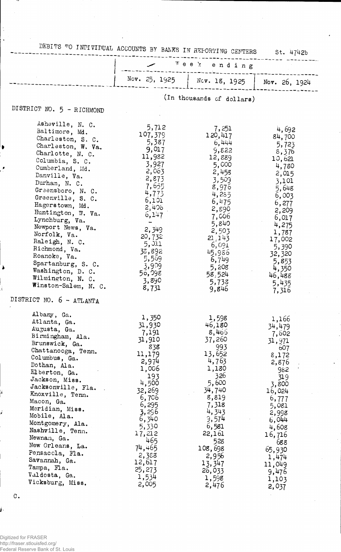| DEBITS TO INDIVIDUAL ACCOUNTS BY BANKS IN REPORTING CENTERS<br>St. 4742b                                                                                                                                                                                                                                                                                                                                                                                                                   |                                                                                                                                                                                                                        |                                                                                                                                                                                                                         |                                                                                                                                                                                                                    |  |
|--------------------------------------------------------------------------------------------------------------------------------------------------------------------------------------------------------------------------------------------------------------------------------------------------------------------------------------------------------------------------------------------------------------------------------------------------------------------------------------------|------------------------------------------------------------------------------------------------------------------------------------------------------------------------------------------------------------------------|-------------------------------------------------------------------------------------------------------------------------------------------------------------------------------------------------------------------------|--------------------------------------------------------------------------------------------------------------------------------------------------------------------------------------------------------------------|--|
|                                                                                                                                                                                                                                                                                                                                                                                                                                                                                            |                                                                                                                                                                                                                        | ™ее ≿<br>ending                                                                                                                                                                                                         |                                                                                                                                                                                                                    |  |
|                                                                                                                                                                                                                                                                                                                                                                                                                                                                                            | Nov. 25, 1925                                                                                                                                                                                                          | Nev. 18, 1925   Nov. 26, 1924                                                                                                                                                                                           |                                                                                                                                                                                                                    |  |
| DISTRICT NO. 5 - RICHMOND                                                                                                                                                                                                                                                                                                                                                                                                                                                                  |                                                                                                                                                                                                                        | (In thousands of dollars)                                                                                                                                                                                               |                                                                                                                                                                                                                    |  |
| Asheville, N. C.<br>Baltimore, Md.<br>Charleston, S. C.<br>Charleston, W. Va.<br>Charlotte, N. C.<br>Columbia, S. C.<br>Cumberland, Md.<br>Danville, Va.<br>Durham, N. C.<br>Greensboro, N. C.<br>Greenville, S. C.<br>Hagerstown, Md.<br>Huntington, W. Va.<br>Lynchburg, Va.<br>Newport News, Va.<br>Norfolk, Va.<br>Raleigh, N. C.<br>Richmond, Va.<br>Roanoke, Va.<br>Spartanburg, S. C.<br>Washington, D. C.<br>Wilmington, N. C.<br>Winston-Salem, N. C.<br>DISTRICT NO. 6 - ATLANTA | 5,712<br>107,379<br>5,387<br>9,017<br>11,982<br>3,927<br>2,063<br>2,873<br>7,655<br>4,773<br>6,101<br>2,406<br>6, 147<br>2,349<br>20,732<br>5,0.1<br>38,892<br>5,569<br>3,909<br>56,098<br>3,890<br>8,731              | 7,251<br>120,417<br>6,444<br>9,822<br>12,889<br>5,000<br>2,458<br>3,509<br>8,976<br>4,285<br>6,475<br>2,890<br>7,006<br>5,840<br>2,503<br>21, 143<br>6,091<br>45,986<br>6,749<br>5,208<br>58,524<br>5,733<br>9,846      | 4,692<br>84,700<br>5,723<br>8,376<br>10,621<br>4,780<br>2,015<br>3,101<br>5,648<br>6,003<br>6,277<br>2,209<br>6,017<br>4,275<br>1,787<br>17,002<br>5,390<br>32,320<br>5,853<br>4,350<br>46,488<br>5,435<br>7,316   |  |
| Albany, Ga.<br>Atlanta, Ga.<br>Augusta, Ga.<br>Birmingham, Ala.<br>Brunswick, Ga.<br>Chattanooga, Tenn.<br>Columbus, Ga.<br>Dothan, Ala.<br>Elberton, Ga.<br>Jackson, Miss.<br>Jacksonville, Fla.<br>Knoxville, Tenn.<br>Macon, Ga.<br>Meridian, Miss.<br>Mobile, Ala.<br>Montgomery, Ala.<br>Nashville, Tenn.<br>Newnan, Ga.<br>New Orleans, La.<br>Pensacola, Fla.<br>Savannah, Ga.<br>Tampa, Fla.<br>Valdosta, Ga.<br>Vicksburg, Miss.                                                  | 1,350<br>31,930<br>7,191<br>31,910<br>838<br>11,179<br>2,974<br>1,006<br>193<br>4,500<br>32,269<br>6,706<br>6,295<br>3,296<br>6,340<br>5,330<br>17,212<br>465<br>74,465<br>2,388<br>12,617<br>25,273<br>1,534<br>2,005 | 1,598<br>46,180<br>8,466<br>37,260<br>993<br>13,652<br>4,763<br>1,130<br>326<br>5,600<br>34,740<br>8,819<br>7,318<br>4,343<br>9,574<br>6,581<br>22,161<br>528<br>108,698<br>2,956<br>13,347<br>26,033<br>1,598<br>2,476 | 1,166<br>34,479<br>7,602<br>31,971<br>607<br>8,172<br>2,876<br>982<br>319<br>3,800<br>16,024<br>6,777<br>5,081<br>2,998<br>6,044<br>4,608<br>16,716<br>688<br>65,930<br>1,474<br>11,049<br>9,476<br>1,103<br>2,037 |  |

 $\cdot$ 

Digitized for FRASER http://fraser.stlouisfed.org/ Federal Reserve Bank of St. Louis

c.

j.

U

 $\frac{1}{\lambda}$  $\ddot{\phantom{0}}$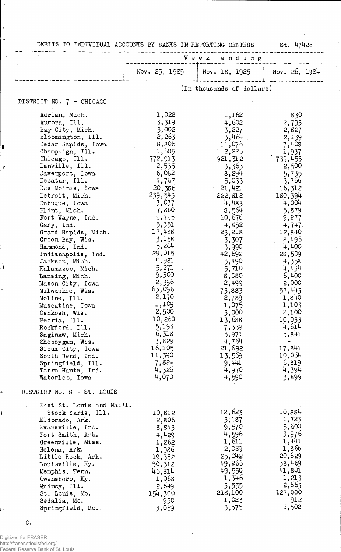|  | DEBITS TO INDIVIDUAL ACCOUNTS BY BANKS IN REPORTING CENTERS |  |  |  |  |  |  |  |
|--|-------------------------------------------------------------|--|--|--|--|--|--|--|
|--|-------------------------------------------------------------|--|--|--|--|--|--|--|

 $St. 4742c$ 

 $\bar{\gamma}$ 

|                                                                                                                                                                                                                                                                                                                                                                                                                                                                                                                                                                                                                                                                                                               | Week ending                                                                                                                                                                                                                                                                                                                                          |                                                                                                                                                                                                                                                                                                                                                         |                                                                                                                                                                                                                                                                                                                                                |  |
|---------------------------------------------------------------------------------------------------------------------------------------------------------------------------------------------------------------------------------------------------------------------------------------------------------------------------------------------------------------------------------------------------------------------------------------------------------------------------------------------------------------------------------------------------------------------------------------------------------------------------------------------------------------------------------------------------------------|------------------------------------------------------------------------------------------------------------------------------------------------------------------------------------------------------------------------------------------------------------------------------------------------------------------------------------------------------|---------------------------------------------------------------------------------------------------------------------------------------------------------------------------------------------------------------------------------------------------------------------------------------------------------------------------------------------------------|------------------------------------------------------------------------------------------------------------------------------------------------------------------------------------------------------------------------------------------------------------------------------------------------------------------------------------------------|--|
|                                                                                                                                                                                                                                                                                                                                                                                                                                                                                                                                                                                                                                                                                                               | Nov. 25, 1925                                                                                                                                                                                                                                                                                                                                        | Nov. 18, 1925                                                                                                                                                                                                                                                                                                                                           | Nov. 26, 1924                                                                                                                                                                                                                                                                                                                                  |  |
|                                                                                                                                                                                                                                                                                                                                                                                                                                                                                                                                                                                                                                                                                                               |                                                                                                                                                                                                                                                                                                                                                      | (In thousands of dollars)                                                                                                                                                                                                                                                                                                                               |                                                                                                                                                                                                                                                                                                                                                |  |
| DISTRICT NO. 7 - CHICAGO                                                                                                                                                                                                                                                                                                                                                                                                                                                                                                                                                                                                                                                                                      |                                                                                                                                                                                                                                                                                                                                                      |                                                                                                                                                                                                                                                                                                                                                         |                                                                                                                                                                                                                                                                                                                                                |  |
| Adrian, Mich.<br>Aurora, Ill.<br>Bay City, Mich.<br>Bloomington, Ill.<br>Cedar Rapids, Iowa<br>Champaign, Ill.<br>Chicago, Ill.<br>Danville, Ill.<br>Davemport, Iowa<br>Decatur, Ill.<br>Des Moines, Iowa<br>Detroit, Mich.<br>Dubuque, Iowa<br>Flint, Mich.<br>Fort Wayne, Ind.<br>Gary, Ind.<br>Grand Rapids, Mich.<br>Green Bay, Wis.<br>Hammond, Ind.<br>Indianapolis, Ind.<br>Jackson, Mich.<br>Kalamazoo, Mich.<br>Lansing, Mich.<br>Mason City, Iowa<br>Milwaukee, Wis.<br>Moline, Ill.<br>Muscatine, Iowa<br>Oshkosh, Wis.<br>Peoria, Ill.<br>Rockford, Ill.<br>Saginaw, Mich.<br>Sheboygan, Wis.<br>Sioux City, Iowa<br>South Bend, Ind.<br>Springfield, Ill.<br>Terre Haute, Ind.<br>Waterloo, Iowa | 1,028<br>3,319<br>3,002<br>2,263<br>8,806<br>1,605<br>772,913<br>2,535<br>6,052<br>4,767<br>20,386<br>239,543<br>3,037<br>7,860<br>9,795<br>5,351<br>17,488<br>3,158<br>5,204<br>29,015<br>4,981<br>5,271<br>9,300<br>2,396<br>63,096<br>2,170<br>1,109<br>2,500<br>10,260<br>5,193<br>6,318<br>3,829<br>16,105<br>11,390<br>7,824<br>4,326<br>4,070 | 1,162<br>4,602<br>3,227<br>3,464<br>11,076<br>2,226<br>921, 312<br>3,363<br>8,294<br>5,033<br>21,421<br>222,812<br>4,483<br>8,564<br>10,676<br>4,852<br>23,218<br>3,307<br>3,990<br>42,692<br>5,490<br>5,710<br>8,080<br>2,499<br>73,883<br>2,789<br>1,075<br>3,000<br>13,688<br>7,339<br>5,971<br>4,764<br>21,692<br>13,569<br>9,441<br>4,970<br>4,590 | 830<br>2,793<br>2,827<br>2,139<br>7,408<br>1,937<br>739,455<br>2,500<br>5,735<br>3,766<br>16,312<br>180,394<br>4,004<br>5,879<br>9,277<br>4,747.<br>12,840<br>2,496<br>4,400<br>28,509<br>4,358<br>4,434<br>6,400<br>2,000<br>57,443<br>1,840<br>1,103<br>2,100<br>10,033<br>4,614<br>5,841<br><br>17,841<br>10,064<br>6,819<br>4,394<br>3,899 |  |
| DISTRICT NO. 8 - ST. LOUIS                                                                                                                                                                                                                                                                                                                                                                                                                                                                                                                                                                                                                                                                                    |                                                                                                                                                                                                                                                                                                                                                      |                                                                                                                                                                                                                                                                                                                                                         |                                                                                                                                                                                                                                                                                                                                                |  |
| East St. Louis and Nat'l.<br>Stock Yards, Ill.<br>Eldorado, Ark.<br>Evansville, Ind.<br>Fort Smith, Ark.<br>Greenville, Miss.<br>Helena, Ark.<br>Little Rock, Ark.<br>Louisville, Ky.<br>Memphis, Tenn.<br>Owensboro, Ky.<br>Quincy, Ill.<br>St. Louis, Mo.<br>Ã.<br>Sedalia, Mo.<br>Springfield, Mo.                                                                                                                                                                                                                                                                                                                                                                                                         | 10,812<br>2,806<br>8,843<br>4,429<br>1,262<br>1,986<br>19,352<br>50,312<br>46,814<br>1,068<br>2,649<br>154,300<br>950<br>3,059                                                                                                                                                                                                                       | 12,623<br>3,187<br>9,570<br>4,596<br>1,611<br>2,089<br>25,042<br>49,266<br>49,550<br>1,346<br>3,555<br>218,100<br>1,023<br>3,575                                                                                                                                                                                                                        | 10,884<br>1,723<br>5,600<br>3,976<br>1,441<br>1,866<br>20,629<br>38,469<br>41,801<br>1,213<br>2,663<br>127,000<br>912<br>2,502                                                                                                                                                                                                                 |  |

 $\overline{c}$  c.

 $\frac{1}{3}$ 

 $\ddot{\phantom{1}}$ 

 $\sim$ 

 $\blacksquare$ 

 $\mathcal{E}$ 

 $\mathbf{\hat{i}}$ 

 $\mathbf{I}$ 

 $\overline{\phantom{a}}$ 

 $\pmb{\langle}$ 

į.

Digitized for FRASER http://fraser.stlouisfed.org/ Federal Reserve Bank of St. Louis

 $\sim$   $\sim$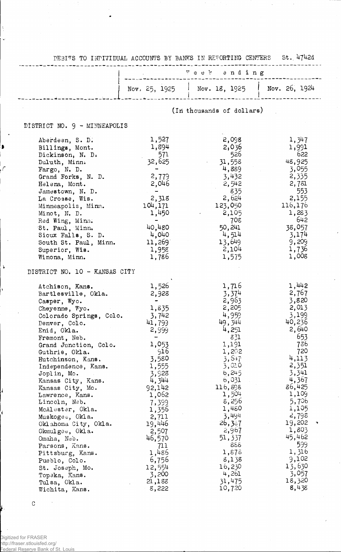|                                                                                                                                                                                                                                                                                                                    |                                                                                                                                                                    | DEBITS TO INDIVIDUAL ACCOUNTS BY BANKS IN REFORTING CENTERS St. 4742d                                                                       |                                                                                                                                              |  |  |
|--------------------------------------------------------------------------------------------------------------------------------------------------------------------------------------------------------------------------------------------------------------------------------------------------------------------|--------------------------------------------------------------------------------------------------------------------------------------------------------------------|---------------------------------------------------------------------------------------------------------------------------------------------|----------------------------------------------------------------------------------------------------------------------------------------------|--|--|
|                                                                                                                                                                                                                                                                                                                    |                                                                                                                                                                    |                                                                                                                                             |                                                                                                                                              |  |  |
|                                                                                                                                                                                                                                                                                                                    |                                                                                                                                                                    | Nov. 25, 1925 Nov. 18, 1925 Nov. 26, 1924                                                                                                   |                                                                                                                                              |  |  |
|                                                                                                                                                                                                                                                                                                                    |                                                                                                                                                                    | (In thousands of dollars)                                                                                                                   |                                                                                                                                              |  |  |
| DISTRICT NO. 9 - MINNEAPOLIS                                                                                                                                                                                                                                                                                       |                                                                                                                                                                    |                                                                                                                                             |                                                                                                                                              |  |  |
| Aberdeen, S. D.<br>Billings, Mont.<br>Dickinson, N. D.<br>Duluth, Minn.<br>Fargo, N. D.<br>Grand Forks, N. D.<br>Helena, Mont.<br>Jamestown, N. D.<br>La Crosse, Wis.<br>Minneapolis, Minn.<br>Minot, N. D.<br>Red Wing, Minn.<br>St. Paul, Minn.<br>Sioux Falls, S. D.<br>South St. Paul, Minn.<br>Superior, Wis. | 1,527<br>1,894<br>571<br>32,625<br>$\sim$<br>2,779<br>2,046<br><b>Service Control</b><br>2,318<br>104,171<br>1,450<br>$\sim$<br>40,480<br>4,040<br>11,269<br>1,958 | 2,098<br>2,036<br>526<br>31,558<br>4,889<br>3,432<br>2,542<br>835<br>2,624<br>123,050<br>2,105<br>708<br>50,241<br>4,514<br>13,649<br>2,104 | 1,347<br>1,991<br>622<br>48,925<br>3,055<br>2,335<br>2,781<br>553<br>2,155<br>116,176<br>1,283<br>- 642<br>38,057<br>3,174<br>9,209<br>1,736 |  |  |
| Winona, Minn.<br>DISTRICT NO. 10 - KANSAS CITY                                                                                                                                                                                                                                                                     | 1,786                                                                                                                                                              | 1,575                                                                                                                                       | 1,008                                                                                                                                        |  |  |
| Atchison, Kans.<br>Bartlesville, Okla.<br>Casper, Wyo.<br>Cheyenne, Wyo.<br>Colorado Springs, Colo.<br>Denver, Colo.<br>Enid, Okla.<br>Fremont, Neb.<br>Grand Junction, Colo.<br>Guthrie, Okla.<br>Hutchinson, Kans.<br>Independence, Kans.<br>Joplin, Mo.<br>Kansas City, Kans.<br>Kansas City, Mo.               | 1,526<br>2,928<br>$\sim$ $\sim$<br>1,835<br>3,742<br>41,793<br>2,999<br>1,053<br>916<br>3,580<br>1,555<br>3,928<br>4,344<br>92,142                                 | 1,716<br>3,374<br>2,963<br>2,205<br>4,959<br>49,344<br>4,251<br>831<br>1,191<br>1,202<br>3,547<br>3,010<br>6,245<br>6,031<br>116,898        | 1,442<br>2,767<br>3,820<br>2,013<br>3,199<br>40,236<br>2,640<br>653<br>736<br>720<br>4,113<br>2,351<br>3,341<br>4,367<br>86,425              |  |  |
| Lawrence, Kans.<br>Lincoln, Neb.<br>McAlester, Okla.<br>Muskogee, Okla.<br>Oklahoma City, Okla.<br>Okmulgee, Okla.<br>Omaha, Neb.<br>Parsons, Kans.<br>Pittsburg, Kans.<br>Pueblo, Colo.<br>St. Joseph, Mo.<br>Topeka, Kans.<br>Tulsa, Okla.<br>Wichita, Kans.                                                     | 1,062<br>7,399<br>1,356<br>2,711<br>19,446<br>2,507<br>46,570<br>711<br>1,486<br>6,756<br>12,554<br>3,200<br>21,188<br>8,222                                       | 1,504<br>8,256<br>1,480<br>3,494<br>26,357<br>2,967<br>51, 337<br>888<br>1,878<br>8,138<br>16,230<br>4,261<br>31,475<br>10,720              | 1,109<br>5,706<br>1,105<br>2,798<br>19,202<br>1,803<br>45,462<br>599<br>1,316<br>9,102<br>13,630<br>3,057<br>18,320<br>8,438                 |  |  |

 $\overline{\phantom{a}}$ 

C

 $\bar{\mathbf{V}}$ 

ŧ

 $\bar{\mathbf{r}}$ 

 $\mathbf{I}$ 

ķ.

Digitized for FRASER http://fraser.stlouisfed.org/ Federal Reserve Bank of St. Louis